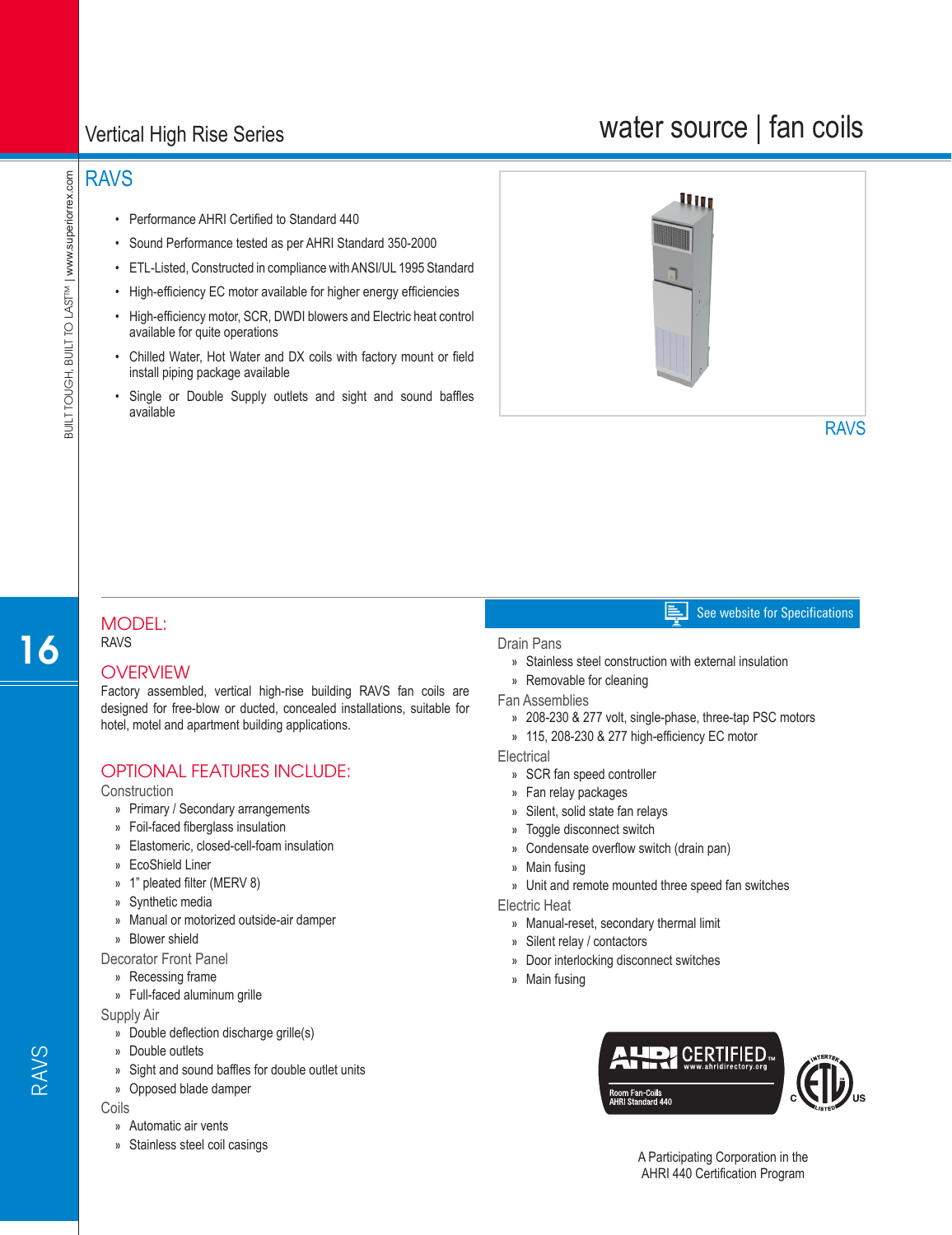## Vertical High Rise Series

# water source | fan coils

## RAVS

- Performance AHRI Certified to Standard 440
- Sound Performance tested as per AHRI Standard 350-2000
- ETL-Listed, Constructed in compliance with ANSI/UL 1995 Standard
- High-efficiency EC motor available for higher energy efficiencies
- High-efficiency motor, SCR, DWDI blowers and Electric heat control available for quite operations
- Chilled Water, Hot Water and DX coils with factory mount or field install piping package available
- Single or Double Supply outlets and sight and sound baffles available



#### MODEL: RAVS

### **OVERVIEW**

Factory assembled, vertical high-rise building RAVS fan coils are designed for free-blow or ducted, concealed installations, suitable for hotel, motel and apartment building applications.

### OPTIONAL FEATURES INCLUDE:

**Construction** 

- » Primary / Secondary arrangements
- » Foil-faced fiberglass insulation
- » Elastomeric, closed-cell-foam insulation
- » EcoShield Liner
- » 1" pleated filter (MERV 8)
- » Synthetic media
- » Manual or motorized outside-air damper
- » Blower shield

Decorator Front Panel

- » Recessing frame
- » Full-faced aluminum grille

Supply Air

- » Double deflection discharge grille(s)
- » Double outlets
- » Sight and sound baffles for double outlet units
- » Opposed blade damper

#### Coils

RAVS

- » Automatic air vents
- » Stainless steel coil casings

#### Drain Pans

- » Stainless steel construction with external insulation
- » Removable for cleaning
- Fan Assemblies
	- » 208-230 & 277 volt, single-phase, three-tap PSC motors
	- » 115, 208-230 & 277 high-efficiency EC motor

**Electrical** 

- » SCR fan speed controller
- » Fan relay packages
- » Silent, solid state fan relays
- » Toggle disconnect switch
- » Condensate overflow switch (drain pan)
- » Main fusing
- » Unit and remote mounted three speed fan switches

#### Electric Heat

- » Manual-reset, secondary thermal limit
- » Silent relay / contactors
- » Door interlocking disconnect switches
- » Main fusing



16

See website for Specifications E I